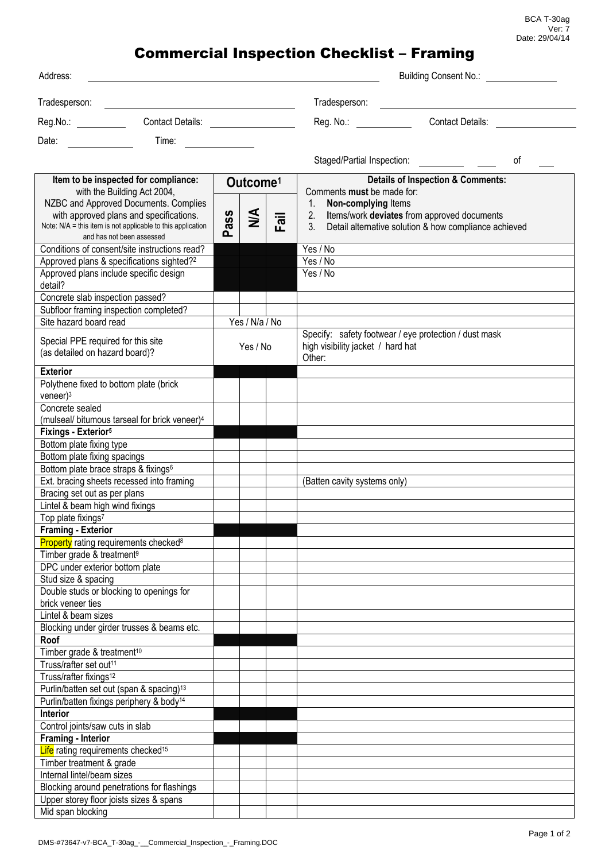## Commercial Inspection Checklist – Framing

| Address:                                                                                                                                                                                                                                      |                                                                                                                                                                                                                                |                            | <b>Building Consent No.:</b> No.: |      |                                                                                                                                            |                                                       |
|-----------------------------------------------------------------------------------------------------------------------------------------------------------------------------------------------------------------------------------------------|--------------------------------------------------------------------------------------------------------------------------------------------------------------------------------------------------------------------------------|----------------------------|-----------------------------------|------|--------------------------------------------------------------------------------------------------------------------------------------------|-------------------------------------------------------|
|                                                                                                                                                                                                                                               |                                                                                                                                                                                                                                |                            |                                   |      | Tradesperson:                                                                                                                              |                                                       |
| Reg.No.: Contact Details:                                                                                                                                                                                                                     |                                                                                                                                                                                                                                |                            |                                   |      | Reg. No.: <b>Reg.</b> No.:                                                                                                                 | <b>Contact Details:</b>                               |
| Date:<br><u>and the state of the state of the state of the state of the state of the state of the state of the state of the state of the state of the state of the state of the state of the state of the state of the state of the state</u> | Time: The contract of the contract of the contract of the contract of the contract of the contract of the contract of the contract of the contract of the contract of the contract of the contract of the contract of the cont |                            |                                   |      |                                                                                                                                            |                                                       |
|                                                                                                                                                                                                                                               |                                                                                                                                                                                                                                |                            |                                   |      | Staged/Partial Inspection:                                                                                                                 | οf                                                    |
| Item to be inspected for compliance:<br>with the Building Act 2004,                                                                                                                                                                           |                                                                                                                                                                                                                                | Outcome <sup>1</sup>       |                                   |      | <b>Details of Inspection &amp; Comments:</b><br>Comments must be made for:                                                                 |                                                       |
| NZBC and Approved Documents. Complies<br>with approved plans and specifications.<br>Note: N/A = this item is not applicable to this application<br>and has not been assessed                                                                  |                                                                                                                                                                                                                                | ass<br>൨                   | $\frac{4}{2}$                     | Fail | 1.<br>Non-complying Items<br>2. Items/work deviates from approved documents<br>3.<br>Detail alternative solution & how compliance achieved |                                                       |
| Conditions of consent/site instructions read?<br>Approved plans & specifications sighted? <sup>2</sup>                                                                                                                                        |                                                                                                                                                                                                                                |                            |                                   |      | Yes / No<br>Yes / No                                                                                                                       |                                                       |
| Approved plans include specific design<br>detail?                                                                                                                                                                                             |                                                                                                                                                                                                                                |                            |                                   |      | Yes / No                                                                                                                                   |                                                       |
| Concrete slab inspection passed?                                                                                                                                                                                                              |                                                                                                                                                                                                                                |                            |                                   |      |                                                                                                                                            |                                                       |
| Subfloor framing inspection completed?<br>Site hazard board read                                                                                                                                                                              |                                                                                                                                                                                                                                |                            |                                   |      |                                                                                                                                            |                                                       |
| Special PPE required for this site<br>(as detailed on hazard board)?                                                                                                                                                                          |                                                                                                                                                                                                                                | Yes / N/a / No<br>Yes / No |                                   |      | high visibility jacket / hard hat<br>Other:                                                                                                | Specify: safety footwear / eye protection / dust mask |
| <b>Exterior</b>                                                                                                                                                                                                                               |                                                                                                                                                                                                                                |                            |                                   |      |                                                                                                                                            |                                                       |
| Polythene fixed to bottom plate (brick<br>$veneer$ <sup>3</sup>                                                                                                                                                                               |                                                                                                                                                                                                                                |                            |                                   |      |                                                                                                                                            |                                                       |
| Concrete sealed                                                                                                                                                                                                                               |                                                                                                                                                                                                                                |                            |                                   |      |                                                                                                                                            |                                                       |
| (mulseal/ bitumous tarseal for brick veneer) <sup>4</sup>                                                                                                                                                                                     |                                                                                                                                                                                                                                |                            |                                   |      |                                                                                                                                            |                                                       |
| Fixings - Exterior <sup>5</sup><br>Bottom plate fixing type                                                                                                                                                                                   |                                                                                                                                                                                                                                |                            |                                   |      |                                                                                                                                            |                                                       |
| Bottom plate fixing spacings                                                                                                                                                                                                                  |                                                                                                                                                                                                                                |                            |                                   |      |                                                                                                                                            |                                                       |
| Bottom plate brace straps & fixings <sup>6</sup>                                                                                                                                                                                              |                                                                                                                                                                                                                                |                            |                                   |      |                                                                                                                                            |                                                       |
| Ext. bracing sheets recessed into framing                                                                                                                                                                                                     |                                                                                                                                                                                                                                |                            |                                   |      | (Batten cavity systems only)                                                                                                               |                                                       |
| Bracing set out as per plans                                                                                                                                                                                                                  |                                                                                                                                                                                                                                |                            |                                   |      |                                                                                                                                            |                                                       |
| Lintel & beam high wind fixings                                                                                                                                                                                                               |                                                                                                                                                                                                                                |                            |                                   |      |                                                                                                                                            |                                                       |
| Top plate fixings <sup>7</sup>                                                                                                                                                                                                                |                                                                                                                                                                                                                                |                            |                                   |      |                                                                                                                                            |                                                       |
| <b>Framing - Exterior</b>                                                                                                                                                                                                                     |                                                                                                                                                                                                                                |                            |                                   |      |                                                                                                                                            |                                                       |
| <b>Property</b> rating requirements checked <sup>8</sup>                                                                                                                                                                                      |                                                                                                                                                                                                                                |                            |                                   |      |                                                                                                                                            |                                                       |
| Timber grade & treatment <sup>9</sup><br>DPC under exterior bottom plate                                                                                                                                                                      |                                                                                                                                                                                                                                |                            |                                   |      |                                                                                                                                            |                                                       |
| Stud size & spacing                                                                                                                                                                                                                           |                                                                                                                                                                                                                                |                            |                                   |      |                                                                                                                                            |                                                       |
| Double studs or blocking to openings for<br>brick veneer ties                                                                                                                                                                                 |                                                                                                                                                                                                                                |                            |                                   |      |                                                                                                                                            |                                                       |
| Lintel & beam sizes                                                                                                                                                                                                                           |                                                                                                                                                                                                                                |                            |                                   |      |                                                                                                                                            |                                                       |
| Blocking under girder trusses & beams etc.                                                                                                                                                                                                    |                                                                                                                                                                                                                                |                            |                                   |      |                                                                                                                                            |                                                       |
| Roof                                                                                                                                                                                                                                          |                                                                                                                                                                                                                                |                            |                                   |      |                                                                                                                                            |                                                       |
| Timber grade & treatment <sup>10</sup>                                                                                                                                                                                                        |                                                                                                                                                                                                                                |                            |                                   |      |                                                                                                                                            |                                                       |
| Truss/rafter set out <sup>11</sup>                                                                                                                                                                                                            |                                                                                                                                                                                                                                |                            |                                   |      |                                                                                                                                            |                                                       |
| Truss/rafter fixings <sup>12</sup>                                                                                                                                                                                                            |                                                                                                                                                                                                                                |                            |                                   |      |                                                                                                                                            |                                                       |
| Purlin/batten set out (span & spacing) <sup>13</sup>                                                                                                                                                                                          |                                                                                                                                                                                                                                |                            |                                   |      |                                                                                                                                            |                                                       |
| Purlin/batten fixings periphery & body <sup>14</sup>                                                                                                                                                                                          |                                                                                                                                                                                                                                |                            |                                   |      |                                                                                                                                            |                                                       |
| <b>Interior</b><br>Control joints/saw cuts in slab                                                                                                                                                                                            |                                                                                                                                                                                                                                |                            |                                   |      |                                                                                                                                            |                                                       |
| Framing - Interior                                                                                                                                                                                                                            |                                                                                                                                                                                                                                |                            |                                   |      |                                                                                                                                            |                                                       |
| Life rating requirements checked <sup>15</sup>                                                                                                                                                                                                |                                                                                                                                                                                                                                |                            |                                   |      |                                                                                                                                            |                                                       |
| Timber treatment & grade                                                                                                                                                                                                                      |                                                                                                                                                                                                                                |                            |                                   |      |                                                                                                                                            |                                                       |
| Internal lintel/beam sizes                                                                                                                                                                                                                    |                                                                                                                                                                                                                                |                            |                                   |      |                                                                                                                                            |                                                       |
| Blocking around penetrations for flashings                                                                                                                                                                                                    |                                                                                                                                                                                                                                |                            |                                   |      |                                                                                                                                            |                                                       |
| Upper storey floor joists sizes & spans                                                                                                                                                                                                       |                                                                                                                                                                                                                                |                            |                                   |      |                                                                                                                                            |                                                       |
| Mid span blocking                                                                                                                                                                                                                             |                                                                                                                                                                                                                                |                            |                                   |      |                                                                                                                                            |                                                       |